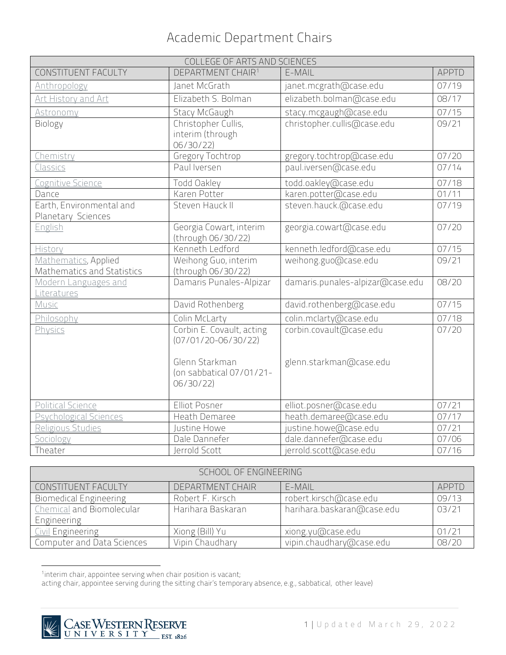| COLLEGE OF ARTS AND SCIENCES                       |                                                                                                                |                                                    |              |
|----------------------------------------------------|----------------------------------------------------------------------------------------------------------------|----------------------------------------------------|--------------|
| CONSTITUENT FACULTY                                | DEPARTMENT CHAIR <sup>1</sup>                                                                                  | E-MAIL                                             | <b>APPTD</b> |
| Anthropology                                       | Janet McGrath                                                                                                  | janet.mcgrath@case.edu                             | 07/19        |
| Art History and Art                                | Elizabeth S. Bolman                                                                                            | elizabeth.bolman@case.edu                          | 08/17        |
| Astronomy                                          | Stacy McGaugh                                                                                                  | stacy.mcgaugh@case.edu                             | 07/15        |
| Biology                                            | Christopher Cullis,<br>interim (through<br>06/30/22)                                                           | christopher.cullis@case.edu                        | 09/21        |
| Chemistry                                          | Gregory Tochtrop                                                                                               | gregory.tochtrop@case.edu                          | 07/20        |
| <b>Classics</b>                                    | Paul Iversen                                                                                                   | paul.iversen@case.edu                              | 07/14        |
| Cognitive Science                                  | Todd Oakley                                                                                                    | todd.oakley@case.edu                               | 07/18        |
| Dance                                              | Karen Potter                                                                                                   | karen.potter@case.edu                              | 01/11        |
| Earth, Environmental and<br>Planetary Sciences     | Steven Hauck II                                                                                                | steven.hauck.@case.edu                             | 07/19        |
| English                                            | Georgia Cowart, interim<br>(through 06/30/22)                                                                  | georgia.cowart@case.edu                            | 07/20        |
| History                                            | Kenneth Ledford                                                                                                | kenneth.ledford@case.edu                           | 07/15        |
| Mathematics, Applied<br>Mathematics and Statistics | Weihong Guo, interim<br>(through 06/30/22)                                                                     | weihong.guo@case.edu                               | 09/21        |
| Modern Languages and<br>Literatures                | Damaris Punales-Alpizar                                                                                        | damaris.punales-alpizar@case.edu                   | 08/20        |
| Music                                              | David Rothenberg                                                                                               | david.rothenberg@case.edu                          | 07/15        |
| Philosophy                                         | Colin McLarty                                                                                                  | colin.mclarty@case.edu                             | 07/18        |
| Physics                                            | Corbin E. Covault, acting<br>$(07/01/20 - 06/30/22)$<br>Glenn Starkman<br>(on sabbatical 07/01/21-<br>06/30/22 | corbin.covault@case.edu<br>glenn.starkman@case.edu | 07/20        |
| Political Science                                  | Elliot Posner                                                                                                  | elliot.posner@case.edu                             | 07/21        |
| Psychological Sciences                             | Heath Demaree                                                                                                  | heath.demaree@case.edu                             | 07/17        |
| Religious Studies                                  | Justine Howe                                                                                                   | justine.howe@case.edu                              | 07/21        |
| Sociology                                          | Dale Dannefer                                                                                                  | dale.dannefer@case.edu                             | 07/06        |
| Theater                                            | Jerrold Scott                                                                                                  | jerrold.scott@case.edu                             | 07/16        |

| SCHOOL OF ENGINEERING         |                   |                            |       |
|-------------------------------|-------------------|----------------------------|-------|
| CONSTITUENT FACULTY           | DEPARTMENT CHAIR  | E-MAIL                     | APPTD |
| <b>Biomedical Engineering</b> | Robert F. Kirsch  | robert.kirsch@case.edu     | 09/13 |
| Chemical and Biomolecular     | Harihara Baskaran | harihara.baskaran@case.edu | 03/21 |
| Engineering                   |                   |                            |       |
| <b>Civil Engineering</b>      | Xiong (Bill) Yu   | xiong.yu@case.edu          | 01/21 |
| Computer and Data Sciences    | Vipin Chaudhary   | vipin.chaudhary@case.edu   | 08/20 |

<sup>1</sup>interim chair, appointee serving when chair position is vacant;

<span id="page-0-0"></span>acting chair, appointee serving during the sitting chair's temporary absence, e.g., sabbatical, other leave)

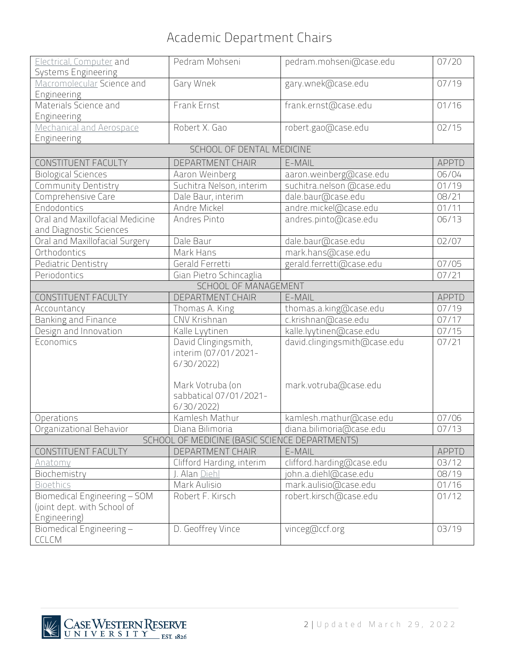| <b>Electrical, Computer and</b><br>Systems Engineering     | Pedram Mohseni                                 | pedram.mohseni@case.edu      | 07/20        |
|------------------------------------------------------------|------------------------------------------------|------------------------------|--------------|
| Macromolecular Science and                                 | Gary Wnek                                      | gary.wnek@case.edu           | 07/19        |
| Engineering<br>Materials Science and                       | Frank Ernst                                    | frank.ernst@case.edu         | 01/16        |
| Engineering                                                |                                                |                              |              |
| Mechanical and Aerospace                                   | Robert X. Gao                                  | robert.gao@case.edu          | 02/15        |
| Engineering                                                |                                                |                              |              |
|                                                            | SCHOOL OF DENTAL MEDICINE                      |                              |              |
| CONSTITUENT FACULTY                                        | DEPARTMENT CHAIR                               | E-MAIL                       | <b>APPTD</b> |
| <b>Biological Sciences</b>                                 | Aaron Weinberg                                 | aaron.weinberg@case.edu      | 06/04        |
| Community Dentistry                                        | Suchitra Nelson, interim                       | suchitra.nelson @case.edu    | 01/19        |
| Comprehensive Care                                         | Dale Baur, interim                             | dale.baur@case.edu           | 08/21        |
| Endodontics                                                | Andre Mickel                                   | andre.mickel@case.edu        | 01/11        |
| Oral and Maxillofacial Medicine<br>and Diagnostic Sciences | Andres Pinto                                   | andres.pinto@case.edu        | 06/13        |
| Oral and Maxillofacial Surgery                             | Dale Baur                                      | dale.baur@case.edu           | 02/07        |
| Orthodontics                                               | Mark Hans                                      | mark.hans@case.edu           |              |
| Pediatric Dentistry                                        | Gerald Ferretti                                | gerald.ferretti@case.edu     | 07/05        |
| Periodontics                                               | Gian Pietro Schincaglia                        |                              | 07/21        |
|                                                            | SCHOOL OF MANAGEMENT                           |                              |              |
| CONSTITUENT FACULTY                                        | <b>DEPARTMENT CHAIR</b>                        | E-MAIL                       | <b>APPTD</b> |
| Accountancy                                                | Thomas A. King                                 | thomas.a.king@case.edu       | 07/19        |
| Banking and Finance                                        | CNV Krishnan                                   | c.krishnan@case.edu          | 07/17        |
| Design and Innovation                                      | Kalle Lyytinen                                 | kalle.lyytinen@case.edu      | 07/15        |
| Economics                                                  | David Clingingsmith,<br>interim (07/01/2021-   | david.clingingsmith@case.edu | 07/21        |
|                                                            | 6/30/2022                                      |                              |              |
|                                                            | Mark Votruba (on                               | mark.votruba@case.edu        |              |
|                                                            | sabbatical 07/01/2021-<br>6/30/2022            |                              |              |
| Operations                                                 | Kamlesh Mathur                                 | kamlesh.mathur@case.edu      | 07/06        |
| Organizational Behavior                                    | Diana Bilimoria                                | diana.bilimoria@case.edu     | 07/13        |
|                                                            | SCHOOL OF MEDICINE (BASIC SCIENCE DEPARTMENTS) |                              |              |
| CONSTITUENT FACULTY                                        | DEPARTMENT CHAIR                               | E-MAIL                       | <b>APPTD</b> |
| Anatomy                                                    | Clifford Harding, interim                      | clifford.harding@case.edu    | 03/12        |
| Biochemistry                                               | J. Alan <u>Diehl</u>                           | john.a.diehl@case.edu        | 08/19        |
| <b>Bioethics</b>                                           | Mark Aulisio                                   | mark.aulisio@case.edu        | 01/16        |
| Biomedical Engineering - SOM                               | Robert F. Kirsch                               | robert.kirsch@case.edu       | 01/12        |
| (joint dept. with School of                                |                                                |                              |              |
| Engineering)                                               |                                                |                              |              |
| Biomedical Engineering-                                    | D. Geoffrey Vince                              | vinceg@ccf.org               | 03/19        |
| CCLCM                                                      |                                                |                              |              |

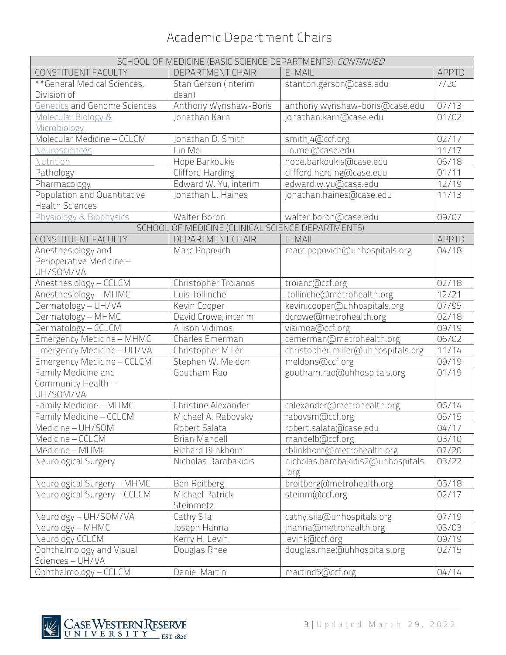| SCHOOL OF MEDICINE (BASIC SCIENCE DEPARTMENTS), CONTINUED |                                                   |                                    |              |
|-----------------------------------------------------------|---------------------------------------------------|------------------------------------|--------------|
| CONSTITUENT FACULTY                                       | <b>DEPARTMENT CHAIR</b>                           | E-MAIL                             | <b>APPTD</b> |
| **General Medical Sciences,                               | Stan Gerson (interim                              | stanton.gerson@case.edu            | 7/20         |
| Division of                                               | dean)                                             |                                    |              |
| <b>Genetics and Genome Sciences</b>                       | Anthony Wynshaw-Boris                             | anthony.wynshaw-boris@case.edu     | 07/13        |
| Molecular Biology &                                       | Jonathan Karn                                     | jonathan.karn@case.edu             | 01/02        |
| Microbiology                                              |                                                   |                                    |              |
| Molecular Medicine - CCLCM                                | Jonathan D. Smith                                 | smithj4@ccf.org                    | 02/17        |
| Neurosciences                                             | Lin Mei                                           | lin.mei@case.edu                   | 11/17        |
| Nutrition                                                 | Hope Barkoukis                                    | hope.barkoukis@case.edu            | 06/18        |
| Pathology                                                 | Clifford Harding                                  | clifford.harding@case.edu          | 01/11        |
| Pharmacology                                              | Edward W. Yu, interim                             | edward.w.yu@case.edu               | 12/19        |
| Population and Quantitative                               | Jonathan L. Haines                                | jonathan.haines@case.edu           | 11/13        |
| <b>Health Sciences</b>                                    |                                                   |                                    |              |
| Physiology & Biophysics                                   | Walter Boron                                      | walter.boron@case.edu              | 09/07        |
|                                                           | SCHOOL OF MEDICINE (CLINICAL SCIENCE DEPARTMENTS) |                                    |              |
| CONSTITUENT FACULTY                                       | DEPARTMENT CHAIR                                  | E-MAIL                             | <b>APPTD</b> |
| Anesthesiology and                                        | Marc Popovich                                     | marc.popovich@uhhospitals.org      | 04/18        |
| Perioperative Medicine -                                  |                                                   |                                    |              |
| UH/SOM/VA                                                 |                                                   |                                    |              |
| Anesthesiology - CCLCM                                    | Christopher Troianos                              | troianc@ccf.org                    | 02/18        |
| Anesthesiology - MHMC                                     | Luis Tollinche                                    | Itollinche@metrohealth.org         | 12/21        |
| Dermatology - UH/VA                                       | Kevin Cooper                                      | kevin.cooper@uhhospitals.org       | 07/95        |
| Dermatology - MHMC                                        | David Crowe, interim                              | dcrowe@metrohealth.org             | 02/18        |
| Dermatology - CCLCM                                       | Allison Vidimos                                   | visimoa@ccf.org                    | 09/19        |
| Emergency Medicine - MHMC                                 | Charles Emerman                                   | cemerman@metrohealth.org           | 06/02        |
| Emergency Medicine - UH/VA                                | Christopher Miller                                | christopher.miller@uhhospitals.org | 11/14        |
| Emergency Medicine - CCLCM                                | Stephen W. Meldon                                 | meldons@ccf.org                    | 09/19        |
| Family Medicine and                                       | Goutham Rao                                       | goutham.rao@uhhospitals.org        | 01/19        |
| Community Health -                                        |                                                   |                                    |              |
| UH/SOM/VA                                                 |                                                   |                                    |              |
| Family Medicine - MHMC                                    | Christine Alexander                               | calexander@metrohealth.org         | 06/14        |
| Family Medicine - CCLCM                                   | Michael A. Rabovsky                               | rabovsm@ccf.org                    | 05/15        |
| Medicine - UH/SOM                                         | Robert Salata                                     | robert.salata@case.edu             | 04/17        |
| Medicine - CCLCM                                          | <b>Brian Mandell</b>                              | mandelb@ccf.org                    | 03/10        |
| Medicine - MHMC                                           | Richard Blinkhorn                                 | rblinkhorn@metrohealth.org         | 07/20        |
| Neurological Surgery                                      | Nicholas Bambakidis                               | nicholas.bambakidis2@uhhospitals   | 03/22        |
|                                                           |                                                   | .org                               |              |
| Neurological Surgery - MHMC                               | Ben Roitberg                                      | broitberg@metrohealth.org          | 05/18        |
| Neurological Surgery - CCLCM                              | Michael Patrick                                   | steinm@ccf.org                     | 02/17        |
|                                                           | Steinmetz                                         |                                    |              |
| Neurology - UH/SOM/VA                                     | Cathy Sila                                        | cathy.sila@uhhospitals.org         | 07/19        |
| Neurology - MHMC                                          | Joseph Hanna                                      | jhanna@metrohealth.org             | 03/03        |
| Neurology CCLCM                                           | Kerry H. Levin                                    | levink@ccf.org                     | 09/19        |
| Ophthalmology and Visual                                  | Douglas Rhee                                      | douglas.rhee@uhhospitals.org       | 02/15        |
| Sciences - UH/VA                                          |                                                   |                                    |              |
| Ophthalmology - CCLCM                                     | Daniel Martin                                     | martind5@ccf.org                   | 04/14        |